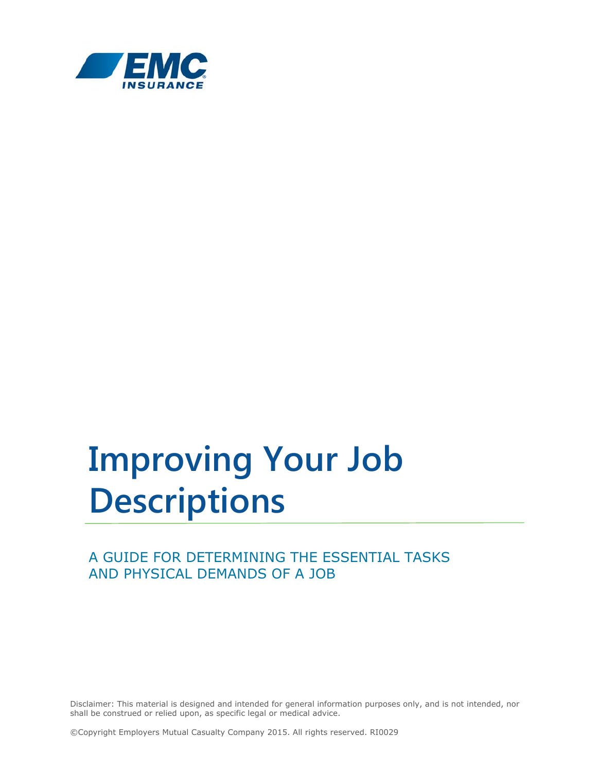

# **Improving Your Job Descriptions**

# A GUIDE FOR DETERMINING THE ESSENTIAL TASKS AND PHYSICAL DEMANDS OF A JOB

Disclaimer: This material is designed and intended for general information purposes only, and is not intended, nor shall be construed or relied upon, as specific legal or medical advice.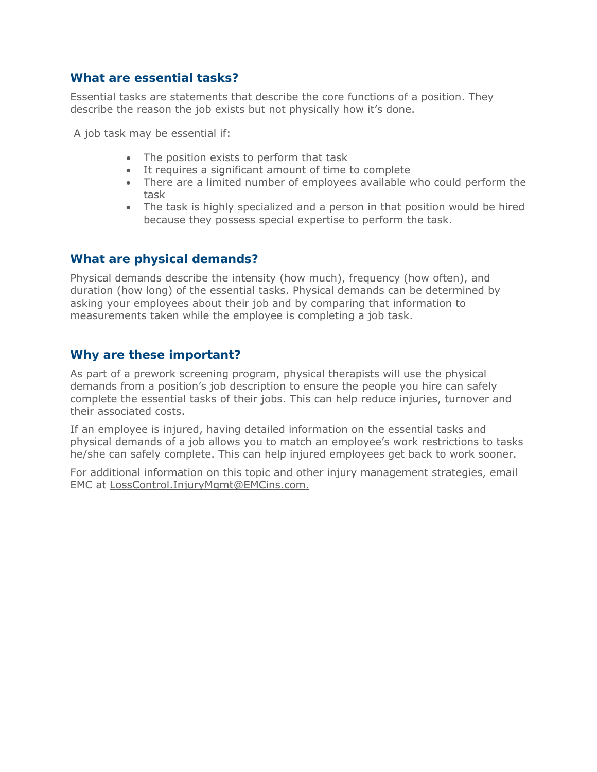#### **What are essential tasks?**

Essential tasks are statements that describe the core functions of a position. They describe the reason the job exists but not physically how it's done.

A job task may be essential if:

- The position exists to perform that task
- It requires a significant amount of time to complete
- There are a limited number of employees available who could perform the task
- The task is highly specialized and a person in that position would be hired because they possess special expertise to perform the task.

#### **What are physical demands?**

Physical demands describe the intensity (how much), frequency (how often), and duration (how long) of the essential tasks. Physical demands can be determined by asking your employees about their job and by comparing that information to measurements taken while the employee is completing a job task.

#### **Why are these important?**

As part of a prework screening program, physical therapists will use the physical demands from a position's job description to ensure the people you hire can safely complete the essential tasks of their jobs. This can help reduce injuries, turnover and their associated costs.

If an employee is injured, having detailed information on the essential tasks and physical demands of a job allows you to match an employee's work restrictions to tasks he/she can safely complete. This can help injured employees get back to work sooner.

For additional information on this topic and other injury management strategies, email EMC at LossControl.InjuryMgmt@EMCins.com.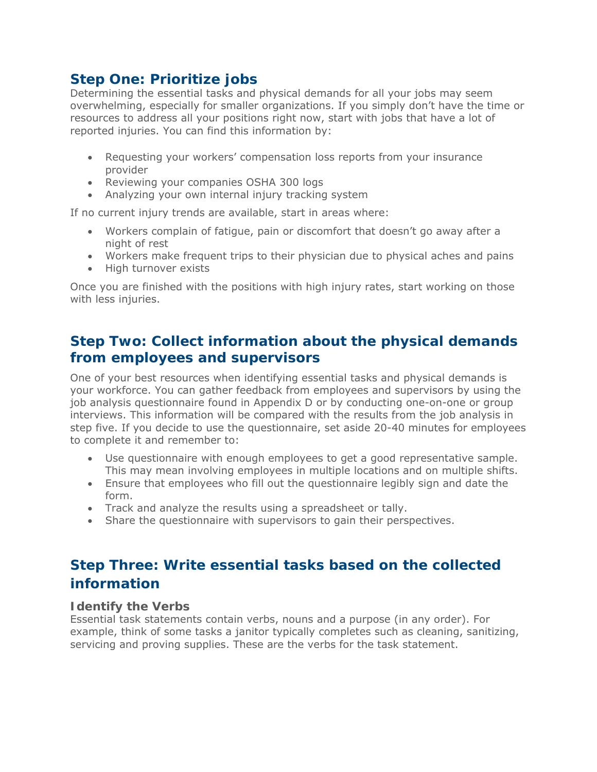# **Step One: Prioritize jobs**

Determining the essential tasks and physical demands for all your jobs may seem overwhelming, especially for smaller organizations. If you simply don't have the time or resources to address all your positions right now, start with jobs that have a lot of reported injuries. You can find this information by:

- Requesting your workers' compensation loss reports from your insurance provider
- Reviewing your companies OSHA 300 logs
- Analyzing your own internal injury tracking system

If no current injury trends are available, start in areas where:

- Workers complain of fatigue, pain or discomfort that doesn't go away after a night of rest
- Workers make frequent trips to their physician due to physical aches and pains
- High turnover exists

Once you are finished with the positions with high injury rates, start working on those with less injuries.

# **Step Two: Collect information about the physical demands from employees and supervisors**

One of your best resources when identifying essential tasks and physical demands is your workforce. You can gather feedback from employees and supervisors by using the job analysis questionnaire found in Appendix D or by conducting one-on-one or group interviews. This information will be compared with the results from the job analysis in step five. If you decide to use the questionnaire, set aside 20-40 minutes for employees to complete it and remember to:

- Use questionnaire with enough employees to get a good representative sample. This may mean involving employees in multiple locations and on multiple shifts.
- Ensure that employees who fill out the questionnaire legibly sign and date the form.
- Track and analyze the results using a spreadsheet or tally.
- Share the questionnaire with supervisors to gain their perspectives.

# **Step Three: Write essential tasks based on the collected information**

#### **Identify the Verbs**

Essential task statements contain verbs, nouns and a purpose (in any order). For example, think of some tasks a janitor typically completes such as cleaning, sanitizing, servicing and proving supplies. These are the verbs for the task statement.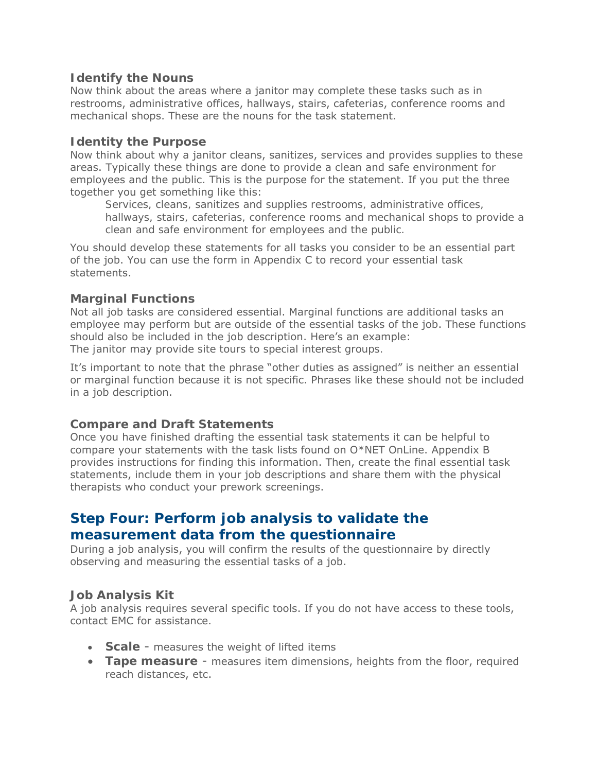#### **Identify the Nouns**

Now think about the areas where a janitor may complete these tasks such as in restrooms, administrative offices, hallways, stairs, cafeterias, conference rooms and mechanical shops. These are the nouns for the task statement.

#### **Identity the Purpose**

Now think about why a janitor cleans, sanitizes, services and provides supplies to these areas. Typically these things are done to provide a clean and safe environment for employees and the public. This is the purpose for the statement. If you put the three together you get something like this:

*Services, cleans, sanitizes and supplies restrooms, administrative offices, hallways, stairs, cafeterias, conference rooms and mechanical shops to provide a clean and safe environment for employees and the public.* 

You should develop these statements for all tasks you consider to be an essential part of the job. You can use the form in Appendix C to record your essential task statements.

#### **Marginal Functions**

Not all job tasks are considered essential. Marginal functions are additional tasks an employee may perform but are outside of the essential tasks of the job. These functions should also be included in the job description. Here's an example: *The janitor may provide site tours to special interest groups.* 

It's important to note that the phrase "other duties as assigned" is neither an essential or marginal function because it is not specific. Phrases like these should not be included in a job description.

#### **Compare and Draft Statements**

Once you have finished drafting the essential task statements it can be helpful to compare your statements with the task lists found on O\*NET OnLine. Appendix B provides instructions for finding this information. Then, create the final essential task statements, include them in your job descriptions and share them with the physical therapists who conduct your prework screenings.

### **Step Four: Perform job analysis to validate the measurement data from the questionnaire**

During a job analysis, you will confirm the results of the questionnaire by directly observing and measuring the essential tasks of a job.

#### **Job Analysis Kit**

A job analysis requires several specific tools. If you do not have access to these tools, contact EMC for assistance.

- **Scale** measures the weight of lifted items
- **Tape measure** measures item dimensions, heights from the floor, required reach distances, etc.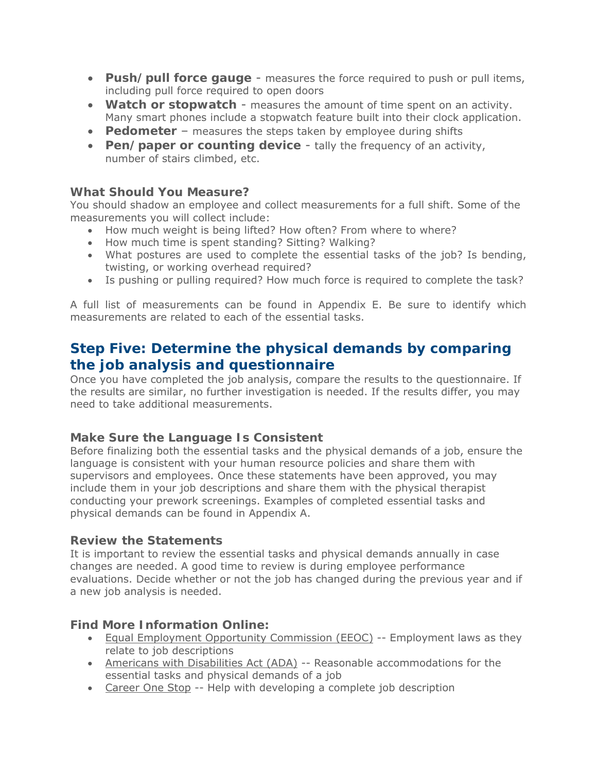- **Push/pull force gauge** measures the force required to push or pull items, including pull force required to open doors
- **Watch or stopwatch** measures the amount of time spent on an activity. Many smart phones include a stopwatch feature built into their clock application.
- **Pedometer** measures the steps taken by employee during shifts
- **Pen/paper or counting device** tally the frequency of an activity, number of stairs climbed, etc.

#### **What Should You Measure?**

You should shadow an employee and collect measurements for a full shift. Some of the measurements you will collect include:

- How much weight is being lifted? How often? From where to where?
- How much time is spent standing? Sitting? Walking?
- What postures are used to complete the essential tasks of the job? Is bending, twisting, or working overhead required?
- Is pushing or pulling required? How much force is required to complete the task?

A full list of measurements can be found in Appendix E. Be sure to identify which measurements are related to each of the essential tasks.

## **Step Five: Determine the physical demands by comparing the job analysis and questionnaire**

Once you have completed the job analysis, compare the results to the questionnaire. If the results are similar, no further investigation is needed. If the results differ, you may need to take additional measurements.

#### **Make Sure the Language Is Consistent**

Before finalizing both the essential tasks and the physical demands of a job, ensure the language is consistent with your human resource policies and share them with supervisors and employees. Once these statements have been approved, you may include them in your job descriptions and share them with the physical therapist conducting your prework screenings. Examples of completed essential tasks and physical demands can be found in Appendix A.

#### **Review the Statements**

It is important to review the essential tasks and physical demands annually in case changes are needed. A good time to review is during employee performance evaluations. Decide whether or not the job has changed during the previous year and if a new job analysis is needed.

#### **Find More Information Online:**

- Equal Employment Opportunity Commission (EEOC) -- Employment laws as they relate to job descriptions
- Americans with Disabilities Act (ADA) -- Reasonable accommodations for the essential tasks and physical demands of a job
- Career One Stop -- Help with developing a complete job description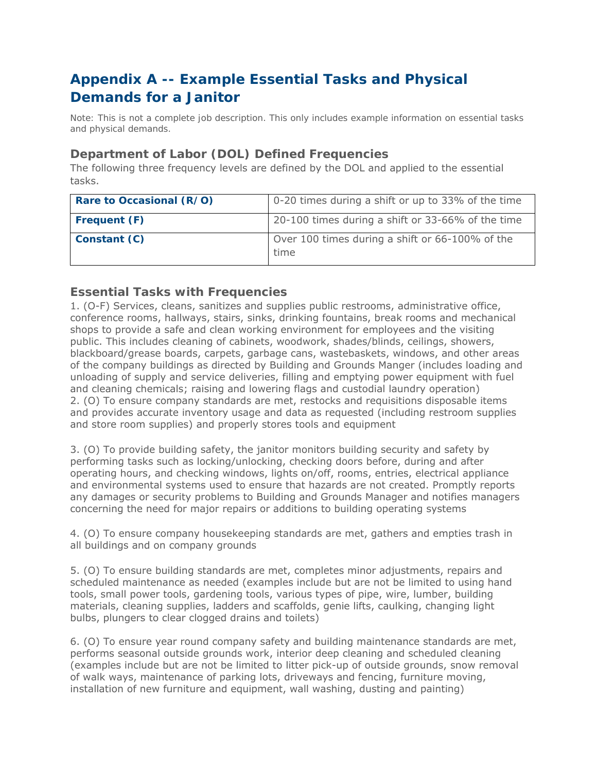# **Appendix A -- Example Essential Tasks and Physical Demands for a Janitor**

*Note: This is not a complete job description. This only includes example information on essential tasks and physical demands.* 

#### **Department of Labor (DOL) Defined Frequencies**

The following three frequency levels are defined by the DOL and applied to the essential tasks.

| Rare to Occasional (R/O) | 0-20 times during a shift or up to 33% of the time      |
|--------------------------|---------------------------------------------------------|
| Frequent (F)             | 20-100 times during a shift or 33-66% of the time       |
| Constant (C)             | Over 100 times during a shift or 66-100% of the<br>time |

#### **Essential Tasks with Frequencies**

1. (O-F) Services, cleans, sanitizes and supplies public restrooms, administrative office, conference rooms, hallways, stairs, sinks, drinking fountains, break rooms and mechanical shops to provide a safe and clean working environment for employees and the visiting public. This includes cleaning of cabinets, woodwork, shades/blinds, ceilings, showers, blackboard/grease boards, carpets, garbage cans, wastebaskets, windows, and other areas of the company buildings as directed by Building and Grounds Manger (includes loading and unloading of supply and service deliveries, filling and emptying power equipment with fuel and cleaning chemicals; raising and lowering flags and custodial laundry operation) 2. (O) To ensure company standards are met, restocks and requisitions disposable items and provides accurate inventory usage and data as requested (including restroom supplies and store room supplies) and properly stores tools and equipment

3. (O) To provide building safety, the janitor monitors building security and safety by performing tasks such as locking/unlocking, checking doors before, during and after operating hours, and checking windows, lights on/off, rooms, entries, electrical appliance and environmental systems used to ensure that hazards are not created. Promptly reports any damages or security problems to Building and Grounds Manager and notifies managers concerning the need for major repairs or additions to building operating systems

4. (O) To ensure company housekeeping standards are met, gathers and empties trash in all buildings and on company grounds

5. (O) To ensure building standards are met, completes minor adjustments, repairs and scheduled maintenance as needed (examples include but are not be limited to using hand tools, small power tools, gardening tools, various types of pipe, wire, lumber, building materials, cleaning supplies, ladders and scaffolds, genie lifts, caulking, changing light bulbs, plungers to clear clogged drains and toilets)

6. (O) To ensure year round company safety and building maintenance standards are met, performs seasonal outside grounds work, interior deep cleaning and scheduled cleaning (examples include but are not be limited to litter pick-up of outside grounds, snow removal of walk ways, maintenance of parking lots, driveways and fencing, furniture moving, installation of new furniture and equipment, wall washing, dusting and painting)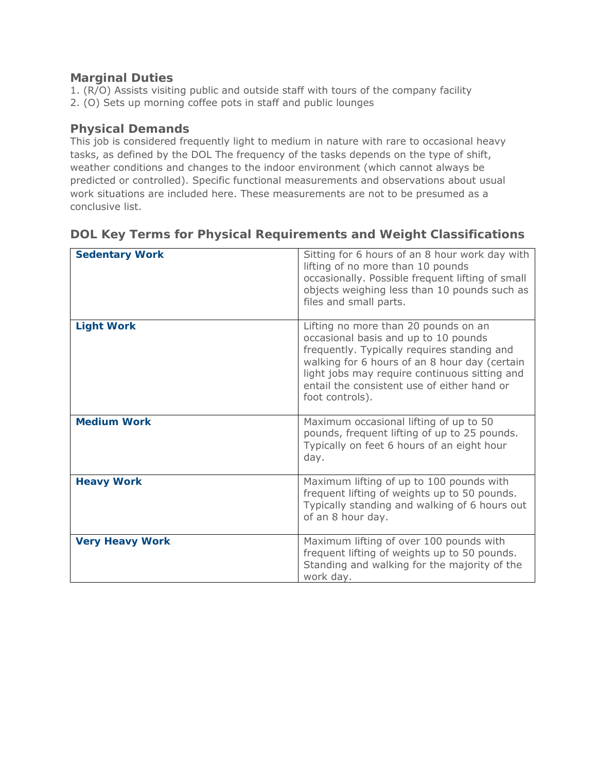#### **Marginal Duties**

1. (R/O) Assists visiting public and outside staff with tours of the company facility 2. (O) Sets up morning coffee pots in staff and public lounges

#### **Physical Demands**

This job is considered frequently light to medium in nature with rare to occasional heavy tasks, as defined by the DOL The frequency of the tasks depends on the type of shift, weather conditions and changes to the indoor environment (which cannot always be predicted or controlled). Specific functional measurements and observations about usual work situations are included here. These measurements are not to be presumed as a conclusive list.

| <b>Sedentary Work</b>  | Sitting for 6 hours of an 8 hour work day with<br>lifting of no more than 10 pounds<br>occasionally. Possible frequent lifting of small<br>objects weighing less than 10 pounds such as<br>files and small parts.                                                                               |
|------------------------|-------------------------------------------------------------------------------------------------------------------------------------------------------------------------------------------------------------------------------------------------------------------------------------------------|
| <b>Light Work</b>      | Lifting no more than 20 pounds on an<br>occasional basis and up to 10 pounds<br>frequently. Typically requires standing and<br>walking for 6 hours of an 8 hour day (certain<br>light jobs may require continuous sitting and<br>entail the consistent use of either hand or<br>foot controls). |
| <b>Medium Work</b>     | Maximum occasional lifting of up to 50<br>pounds, frequent lifting of up to 25 pounds.<br>Typically on feet 6 hours of an eight hour<br>day.                                                                                                                                                    |
| <b>Heavy Work</b>      | Maximum lifting of up to 100 pounds with<br>frequent lifting of weights up to 50 pounds.<br>Typically standing and walking of 6 hours out<br>of an 8 hour day.                                                                                                                                  |
| <b>Very Heavy Work</b> | Maximum lifting of over 100 pounds with<br>frequent lifting of weights up to 50 pounds.<br>Standing and walking for the majority of the<br>work day.                                                                                                                                            |

#### **DOL Key Terms for Physical Requirements and Weight Classifications**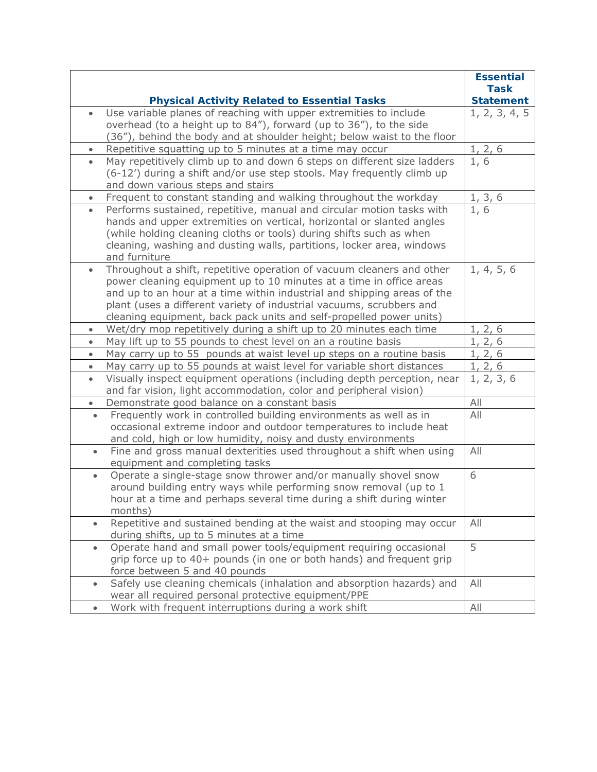|           |                                                                                                                                                   | <b>Essential</b><br><b>Task</b> |
|-----------|---------------------------------------------------------------------------------------------------------------------------------------------------|---------------------------------|
|           | <b>Physical Activity Related to Essential Tasks</b>                                                                                               | <b>Statement</b>                |
| $\bullet$ | Use variable planes of reaching with upper extremities to include                                                                                 | 1, 2, 3, 4, 5                   |
|           | overhead (to a height up to 84"), forward (up to 36"), to the side                                                                                |                                 |
|           | (36"), behind the body and at shoulder height; below waist to the floor                                                                           |                                 |
|           | Repetitive squatting up to 5 minutes at a time may occur                                                                                          | 1, 2, 6                         |
| $\bullet$ | May repetitively climb up to and down 6 steps on different size ladders<br>(6-12') during a shift and/or use step stools. May frequently climb up | 1,6                             |
|           | and down various steps and stairs                                                                                                                 |                                 |
| $\bullet$ | Frequent to constant standing and walking throughout the workday                                                                                  | 1, 3, 6                         |
| $\bullet$ | Performs sustained, repetitive, manual and circular motion tasks with                                                                             | 1, 6                            |
|           | hands and upper extremities on vertical, horizontal or slanted angles                                                                             |                                 |
|           | (while holding cleaning cloths or tools) during shifts such as when                                                                               |                                 |
|           | cleaning, washing and dusting walls, partitions, locker area, windows                                                                             |                                 |
|           | and furniture                                                                                                                                     |                                 |
| $\bullet$ | Throughout a shift, repetitive operation of vacuum cleaners and other<br>power cleaning equipment up to 10 minutes at a time in office areas      | 1, 4, 5, 6                      |
|           | and up to an hour at a time within industrial and shipping areas of the                                                                           |                                 |
|           | plant (uses a different variety of industrial vacuums, scrubbers and                                                                              |                                 |
|           | cleaning equipment, back pack units and self-propelled power units)                                                                               |                                 |
| $\bullet$ | Wet/dry mop repetitively during a shift up to 20 minutes each time                                                                                | 1, 2, 6                         |
| $\bullet$ | May lift up to 55 pounds to chest level on an a routine basis                                                                                     | 1, 2, 6                         |
| $\bullet$ | May carry up to 55 pounds at waist level up steps on a routine basis                                                                              | 1, 2, 6                         |
| $\bullet$ | May carry up to 55 pounds at waist level for variable short distances                                                                             | 1, 2, 6                         |
| $\bullet$ | Visually inspect equipment operations (including depth perception, near<br>and far vision, light accommodation, color and peripheral vision)      | 1, 2, 3, 6                      |
| $\bullet$ | Demonstrate good balance on a constant basis                                                                                                      | All                             |
| $\bullet$ | Frequently work in controlled building environments as well as in                                                                                 | All                             |
|           | occasional extreme indoor and outdoor temperatures to include heat                                                                                |                                 |
|           | and cold, high or low humidity, noisy and dusty environments                                                                                      |                                 |
| $\bullet$ | Fine and gross manual dexterities used throughout a shift when using                                                                              | All                             |
|           | equipment and completing tasks                                                                                                                    | 6                               |
| $\bullet$ | Operate a single-stage snow thrower and/or manually shovel snow<br>around building entry ways while performing snow removal (up to 1              |                                 |
|           | hour at a time and perhaps several time during a shift during winter                                                                              |                                 |
|           | months)                                                                                                                                           |                                 |
| $\bullet$ | Repetitive and sustained bending at the waist and stooping may occur                                                                              | All                             |
|           | during shifts, up to 5 minutes at a time                                                                                                          |                                 |
| $\bullet$ | Operate hand and small power tools/equipment requiring occasional                                                                                 | 5                               |
|           | grip force up to 40+ pounds (in one or both hands) and frequent grip                                                                              |                                 |
|           | force between 5 and 40 pounds                                                                                                                     |                                 |
| $\bullet$ | Safely use cleaning chemicals (inhalation and absorption hazards) and<br>wear all required personal protective equipment/PPE                      | All                             |
| $\bullet$ | Work with frequent interruptions during a work shift                                                                                              | All                             |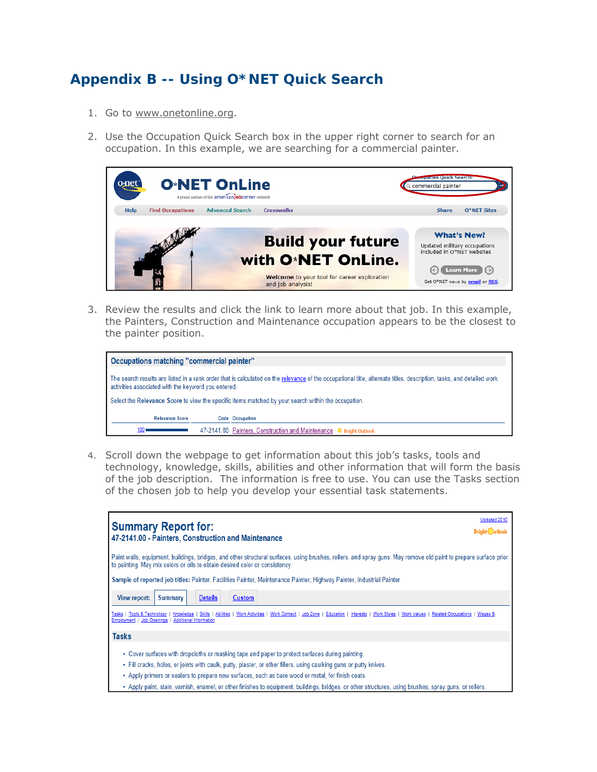# **Appendix B -- Using O\*NET Quick Search**

- 1. Go to www.onetonline.org.
- 2. Use the Occupation Quick Search box in the upper right corner to search for an occupation. In this example, we are searching for a commercial painter.



3. Review the results and click the link to learn more about that job. In this example, the Painters, Construction and Maintenance occupation appears to be the closest to the painter position.

| Occupations matching "commercial painter"                                                                                                                                                                                   |  |                                                                                                     |
|-----------------------------------------------------------------------------------------------------------------------------------------------------------------------------------------------------------------------------|--|-----------------------------------------------------------------------------------------------------|
| The search results are listed in a rank order that is calculated on the relevance of the occupational title, alternate titles, description, tasks, and detailed work<br>activities associated with the keyword you entered. |  |                                                                                                     |
|                                                                                                                                                                                                                             |  | Select the Relevance Score to view the specific items matched by your search within the occupation. |
| <b>Relevance Score</b>                                                                                                                                                                                                      |  | Code Occupation                                                                                     |
| 100.                                                                                                                                                                                                                        |  | 47-2141.00 Painters, Construction and Maintenance C Bright Outlook                                  |

4. Scroll down the webpage to get information about this job's tasks, tools and technology, knowledge, skills, abilities and other information that will form the basis of the job description. The information is free to use. You can use the Tasks section of the chosen job to help you develop your essential task statements.

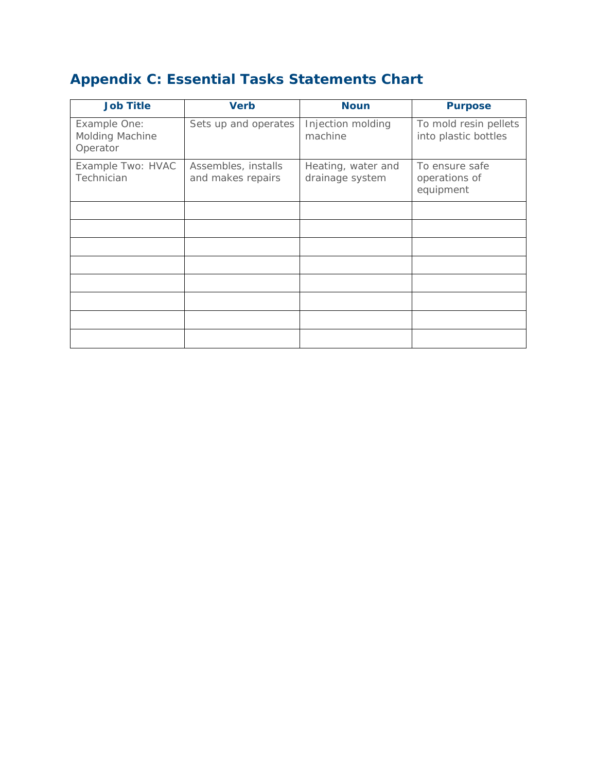# **Appendix C: Essential Tasks Statements Chart**

| <b>Job Title</b>                            | <b>Verb</b>                              | <b>Noun</b>                           | <b>Purpose</b>                                |
|---------------------------------------------|------------------------------------------|---------------------------------------|-----------------------------------------------|
| Example One:<br>Molding Machine<br>Operator | Sets up and operates                     | Injection molding<br>machine          | To mold resin pellets<br>into plastic bottles |
| Example Two: HVAC<br>Technician             | Assembles, installs<br>and makes repairs | Heating, water and<br>drainage system | To ensure safe<br>operations of<br>equipment  |
|                                             |                                          |                                       |                                               |
|                                             |                                          |                                       |                                               |
|                                             |                                          |                                       |                                               |
|                                             |                                          |                                       |                                               |
|                                             |                                          |                                       |                                               |
|                                             |                                          |                                       |                                               |
|                                             |                                          |                                       |                                               |
|                                             |                                          |                                       |                                               |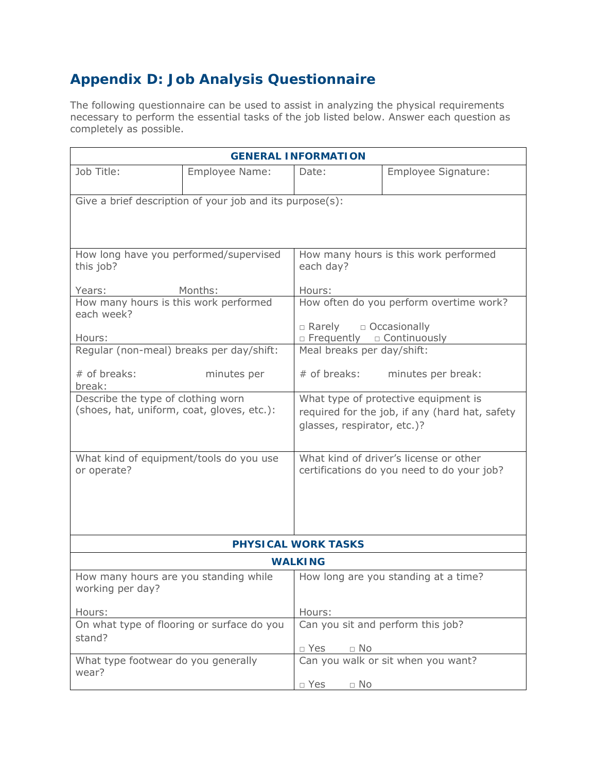# **Appendix D: Job Analysis Questionnaire**

The following questionnaire can be used to assist in analyzing the physical requirements necessary to perform the essential tasks of the job listed below. Answer each question as completely as possible.

| <b>GENERAL INFORMATION</b>                                                       |                                                          |                                                                                                                       |                                                                                      |  |  |
|----------------------------------------------------------------------------------|----------------------------------------------------------|-----------------------------------------------------------------------------------------------------------------------|--------------------------------------------------------------------------------------|--|--|
| Job Title:                                                                       | Employee Name:                                           | Date:                                                                                                                 | Employee Signature:                                                                  |  |  |
|                                                                                  | Give a brief description of your job and its purpose(s): |                                                                                                                       |                                                                                      |  |  |
| How long have you performed/supervised<br>this job?                              |                                                          | How many hours is this work performed<br>each day?                                                                    |                                                                                      |  |  |
| Years:                                                                           | Months:                                                  | Hours:                                                                                                                |                                                                                      |  |  |
| How many hours is this work performed<br>each week?                              |                                                          |                                                                                                                       | How often do you perform overtime work?                                              |  |  |
| Hours:                                                                           |                                                          | $\Box$ Rarely $\Box$ Occasionally<br>$\Box$ Frequently $\Box$ Continuously                                            |                                                                                      |  |  |
| Regular (non-meal) breaks per day/shift:                                         |                                                          | Meal breaks per day/shift:                                                                                            |                                                                                      |  |  |
| $#$ of breaks:<br>break:                                                         | minutes per                                              | # of breaks:                                                                                                          | minutes per break:                                                                   |  |  |
| Describe the type of clothing worn<br>(shoes, hat, uniform, coat, gloves, etc.): |                                                          | What type of protective equipment is<br>required for the job, if any (hard hat, safety<br>glasses, respirator, etc.)? |                                                                                      |  |  |
| What kind of equipment/tools do you use<br>or operate?                           |                                                          |                                                                                                                       | What kind of driver's license or other<br>certifications do you need to do your job? |  |  |
|                                                                                  |                                                          | <b>PHYSICAL WORK TASKS</b>                                                                                            |                                                                                      |  |  |
| <b>WALKING</b>                                                                   |                                                          |                                                                                                                       |                                                                                      |  |  |
| How many hours are you standing while<br>working per day?                        |                                                          |                                                                                                                       | How long are you standing at a time?                                                 |  |  |
| Hours:                                                                           |                                                          | Hours:                                                                                                                |                                                                                      |  |  |
| On what type of flooring or surface do you<br>stand?                             |                                                          | □ Yes<br>$\Box$ No                                                                                                    | Can you sit and perform this job?                                                    |  |  |
| What type footwear do you generally<br>wear?                                     |                                                          |                                                                                                                       | Can you walk or sit when you want?                                                   |  |  |
|                                                                                  |                                                          | $\Box$ Yes<br>$\Box$ No                                                                                               |                                                                                      |  |  |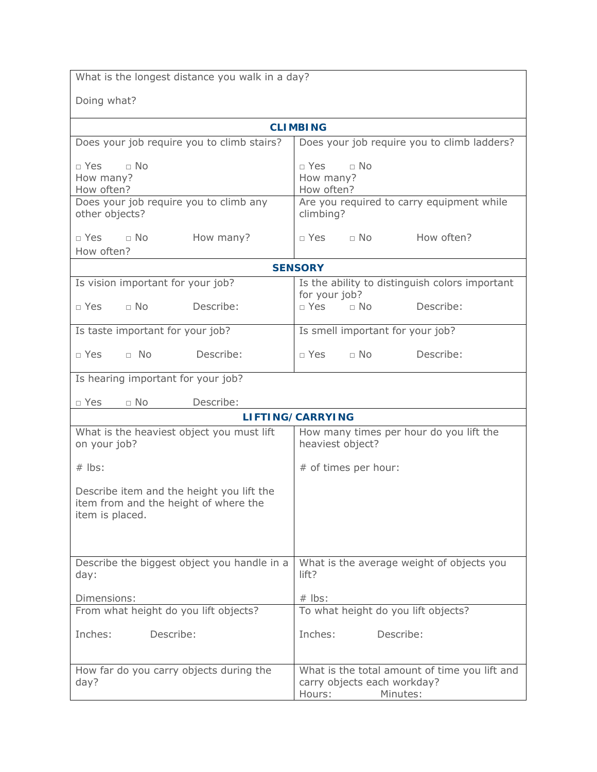What is the longest distance you walk in a day?

Doing what?

| <b>CLIMBING</b>                                                                                                  |                                                                                                    |  |  |
|------------------------------------------------------------------------------------------------------------------|----------------------------------------------------------------------------------------------------|--|--|
| Does your job require you to climb stairs?                                                                       | Does your job require you to climb ladders?                                                        |  |  |
| $\Box$ No<br>$\sqcap$ Yes<br>How many?<br>How often?<br>Does your job require you to climb any<br>other objects? | $\Box$ No<br>$\sqcap$ Yes<br>How many?<br>How often?<br>Are you required to carry equipment while  |  |  |
|                                                                                                                  | climbing?                                                                                          |  |  |
| $\sqcap$ No<br>$\sqcap$ Yes<br>How many?<br>How often?                                                           | How often?<br>$\sqcap$ Yes<br>$\sqcap$ No                                                          |  |  |
|                                                                                                                  | <b>SENSORY</b>                                                                                     |  |  |
| Is vision important for your job?                                                                                | Is the ability to distinguish colors important                                                     |  |  |
| $\Box$ Yes<br>$\Box$ No<br>Describe:                                                                             | for your job?<br>$\Box$ Yes<br>$\Box$ No<br>Describe:                                              |  |  |
| Is taste important for your job?                                                                                 | Is smell important for your job?                                                                   |  |  |
| Describe:<br>$\Box$ Yes<br>$\Box$ No                                                                             | $\neg$ No<br>Describe:<br>$\sqcap$ Yes                                                             |  |  |
| Is hearing important for your job?                                                                               |                                                                                                    |  |  |
| $\Box$ No<br>Describe:<br>$\Box$ Yes                                                                             |                                                                                                    |  |  |
|                                                                                                                  | LIFTING/CARRYING                                                                                   |  |  |
| What is the heaviest object you must lift<br>on your job?                                                        | How many times per hour do you lift the<br>heaviest object?                                        |  |  |
| $#$ lbs:                                                                                                         | # of times per hour:                                                                               |  |  |
| Describe item and the height you lift the<br>item from and the height of where the<br>item is placed.            |                                                                                                    |  |  |
| Describe the biggest object you handle in a<br>day:                                                              | What is the average weight of objects you<br>lift?                                                 |  |  |
| Dimensions:                                                                                                      | $#$ lbs:                                                                                           |  |  |
| From what height do you lift objects?                                                                            | To what height do you lift objects?                                                                |  |  |
| Describe:<br>Inches:                                                                                             | Describe:<br>Inches:                                                                               |  |  |
| How far do you carry objects during the<br>day?                                                                  | What is the total amount of time you lift and<br>carry objects each workday?<br>Hours:<br>Minutes: |  |  |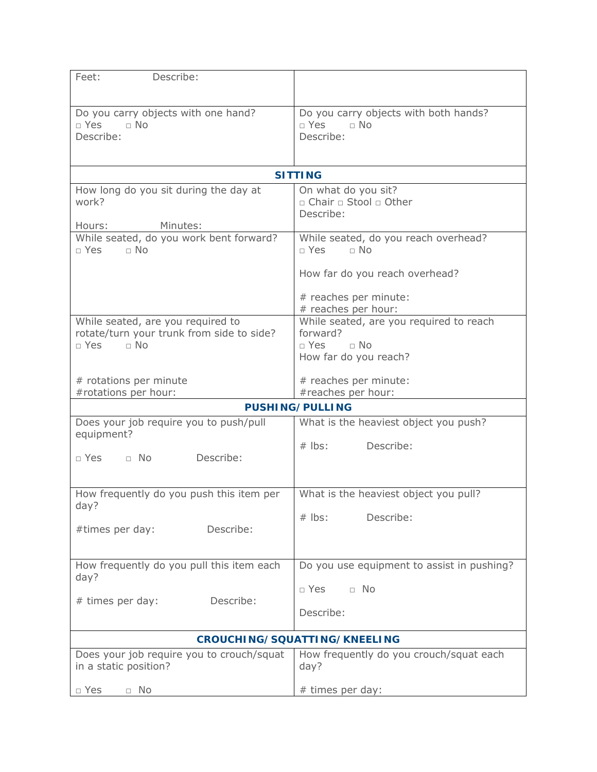| Describe:<br>Feet:                                                             |                                                                  |
|--------------------------------------------------------------------------------|------------------------------------------------------------------|
|                                                                                |                                                                  |
| Do you carry objects with one hand?<br>$\Box$ Yes<br>$\Box$ No                 | Do you carry objects with both hands?<br>$\Box$ Yes<br>$\Box$ No |
| Describe:                                                                      | Describe:                                                        |
|                                                                                |                                                                  |
|                                                                                | <b>SITTING</b>                                                   |
| How long do you sit during the day at<br>work?                                 | On what do you sit?<br>□ Chair □ Stool □ Other                   |
|                                                                                | Describe:                                                        |
| Minutes:<br>Hours:                                                             |                                                                  |
| While seated, do you work bent forward?<br>□ Yes<br>$\Box$ No                  | While seated, do you reach overhead?<br>□ Yes<br>$\Box$ No       |
|                                                                                | How far do you reach overhead?                                   |
|                                                                                | # reaches per minute:<br># reaches per hour:                     |
| While seated, are you required to<br>rotate/turn your trunk from side to side? | While seated, are you required to reach<br>forward?              |
| $\Box$ No<br>$\Box$ Yes                                                        | $\Box$ No<br>$\neg$ Yes                                          |
|                                                                                | How far do you reach?                                            |
| # rotations per minute                                                         | # reaches per minute:                                            |
| #rotations per hour:                                                           | #reaches per hour:                                               |
|                                                                                | <b>PUSHING/PULLING</b>                                           |
| Does your job require you to push/pull<br>equipment?                           | What is the heaviest object you push?                            |
| Describe:<br>$\Box$ No<br>$\Box$ Yes                                           | Describe:<br>$#$ lbs:                                            |
|                                                                                |                                                                  |
| How frequently do you push this item per                                       | What is the heaviest object you pull?                            |
| day?                                                                           | Describe:<br>$#$ lbs:                                            |
| #times per day:<br>Describe:                                                   |                                                                  |
|                                                                                |                                                                  |
| How frequently do you pull this item each<br>day?                              | Do you use equipment to assist in pushing?                       |
| Describe:<br># times per day:                                                  | $\Box$ Yes<br>$\Box$ No                                          |
|                                                                                | Describe:                                                        |
|                                                                                | CROUCHING/SQUATTING/KNEELING                                     |
| Does your job require you to crouch/squat<br>in a static position?             | How frequently do you crouch/squat each<br>day?                  |
| $\Box$ Yes<br>$\Box$ No                                                        | # times per day:                                                 |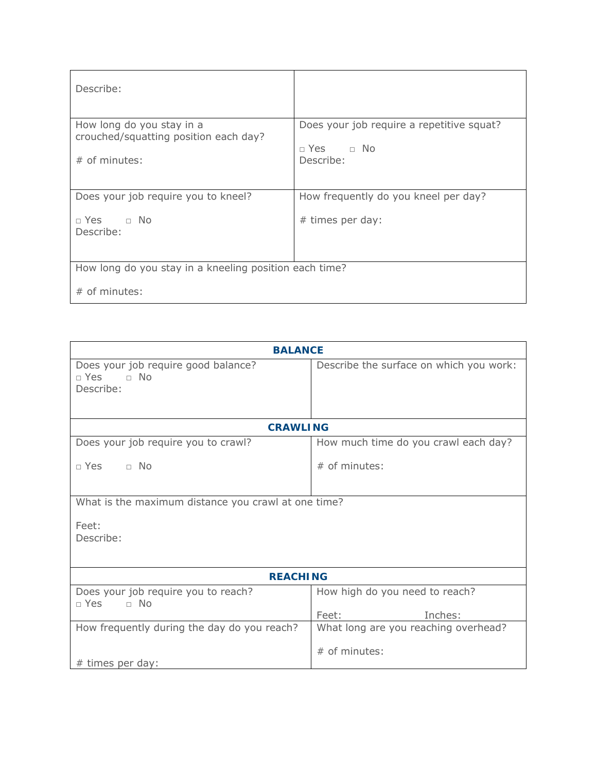| Describe:                                                                             |                                                                                |
|---------------------------------------------------------------------------------------|--------------------------------------------------------------------------------|
| How long do you stay in a<br>crouched/squatting position each day?<br>$#$ of minutes: | Does your job require a repetitive squat?<br>$\Box$ Yes $\Box$ No<br>Describe: |
| Does your job require you to kneel?                                                   | How frequently do you kneel per day?                                           |
| $\Box$ Yes $\Box$ No<br>Describe:                                                     | # times per day:                                                               |
|                                                                                       |                                                                                |
| How long do you stay in a kneeling position each time?                                |                                                                                |
| $#$ of minutes:                                                                       |                                                                                |

| <b>BALANCE</b>                                                           |                                                    |  |  |  |
|--------------------------------------------------------------------------|----------------------------------------------------|--|--|--|
| Does your job require good balance?<br>$\neg$ Yes $\neg$ No<br>Describe: | Describe the surface on which you work:            |  |  |  |
| <b>CRAWLING</b>                                                          |                                                    |  |  |  |
| Does your job require you to crawl?                                      | How much time do you crawl each day?               |  |  |  |
| $\Box$ Yes $\Box$ No                                                     | $#$ of minutes:                                    |  |  |  |
| What is the maximum distance you crawl at one time?                      |                                                    |  |  |  |
| Feet:<br>Describe:                                                       |                                                    |  |  |  |
| <b>REACHING</b>                                                          |                                                    |  |  |  |
| Does your job require you to reach?<br>$\Box$ Yes<br>$\Box$ No           | How high do you need to reach?<br>Feet:<br>Inches: |  |  |  |
| How frequently during the day do you reach?                              | What long are you reaching overhead?               |  |  |  |
| # times per day:                                                         | $#$ of minutes:                                    |  |  |  |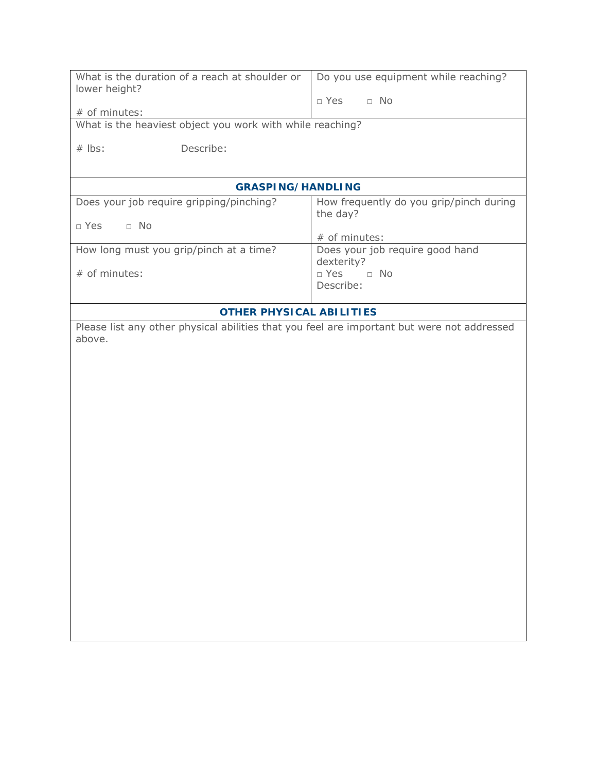| What is the duration of a reach at shoulder or                                              | Do you use equipment while reaching?    |
|---------------------------------------------------------------------------------------------|-----------------------------------------|
| lower height?                                                                               | $\Box$ No<br>$\Box$ Yes                 |
| # of minutes:                                                                               |                                         |
| What is the heaviest object you work with while reaching?                                   |                                         |
| $#$ lbs:<br>Describe:                                                                       |                                         |
|                                                                                             |                                         |
| <b>GRASPING/HANDLING</b>                                                                    |                                         |
| Does your job require gripping/pinching?                                                    | How frequently do you grip/pinch during |
| $\Box$ No<br>$\Box$ Yes                                                                     | the day?                                |
|                                                                                             | # of minutes:                           |
| How long must you grip/pinch at a time?                                                     | Does your job require good hand         |
| # of minutes:                                                                               | dexterity?<br>$\Box$ Yes<br>$\Box$ No   |
|                                                                                             | Describe:                               |
|                                                                                             |                                         |
| <b>OTHER PHYSICAL ABILITIES</b>                                                             |                                         |
| Please list any other physical abilities that you feel are important but were not addressed |                                         |
| above.                                                                                      |                                         |
|                                                                                             |                                         |
|                                                                                             |                                         |
|                                                                                             |                                         |
|                                                                                             |                                         |
|                                                                                             |                                         |
|                                                                                             |                                         |
|                                                                                             |                                         |
|                                                                                             |                                         |
|                                                                                             |                                         |
|                                                                                             |                                         |
|                                                                                             |                                         |
|                                                                                             |                                         |
|                                                                                             |                                         |
|                                                                                             |                                         |
|                                                                                             |                                         |
|                                                                                             |                                         |
|                                                                                             |                                         |
|                                                                                             |                                         |
|                                                                                             |                                         |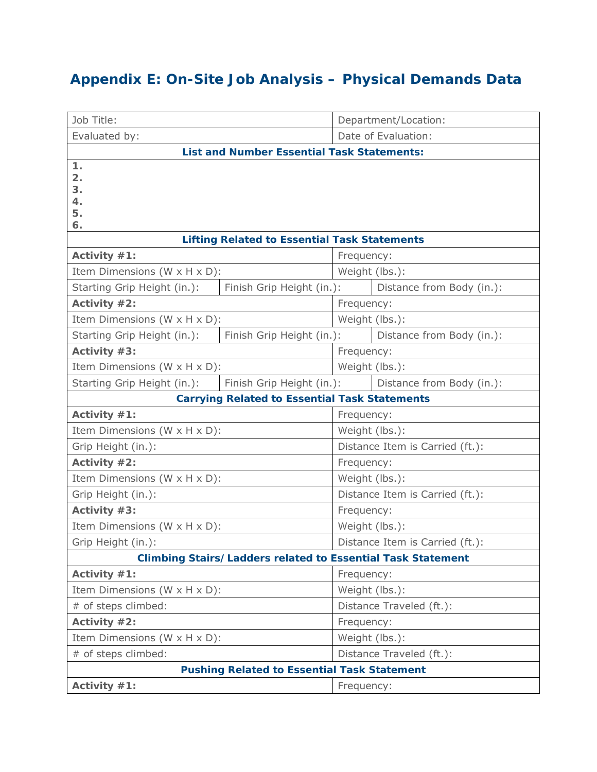# **Appendix E: On-Site Job Analysis – Physical Demands Data**

| Job Title:                                         |                                                                    |                                 | Department/Location:            |  |
|----------------------------------------------------|--------------------------------------------------------------------|---------------------------------|---------------------------------|--|
| Evaluated by:                                      |                                                                    | Date of Evaluation:             |                                 |  |
|                                                    | <b>List and Number Essential Task Statements:</b>                  |                                 |                                 |  |
| 1.<br>2.<br>3.<br>4.<br>5.<br>6.                   |                                                                    |                                 |                                 |  |
|                                                    | <b>Lifting Related to Essential Task Statements</b>                |                                 |                                 |  |
| Activity #1:                                       |                                                                    | Frequency:                      |                                 |  |
| Item Dimensions (W x H x D):                       |                                                                    | Weight (lbs.):                  |                                 |  |
| Starting Grip Height (in.):                        | Finish Grip Height (in.):                                          |                                 | Distance from Body (in.):       |  |
| Activity #2:                                       |                                                                    | Frequency:                      |                                 |  |
| Item Dimensions (W x H x D):                       |                                                                    | Weight (lbs.):                  |                                 |  |
| Starting Grip Height (in.):                        | Finish Grip Height (in.):                                          |                                 | Distance from Body (in.):       |  |
| Activity $#3$ :                                    |                                                                    | Frequency:                      |                                 |  |
| Item Dimensions (W x H x D):                       |                                                                    | Weight (lbs.):                  |                                 |  |
| Starting Grip Height (in.):                        | Finish Grip Height (in.):                                          |                                 | Distance from Body (in.):       |  |
|                                                    | <b>Carrying Related to Essential Task Statements</b>               |                                 |                                 |  |
| Activity #1:                                       |                                                                    |                                 | Frequency:                      |  |
| Item Dimensions (W x H x D):                       |                                                                    | Weight (lbs.):                  |                                 |  |
| Grip Height (in.):                                 |                                                                    |                                 | Distance Item is Carried (ft.): |  |
| Activity #2:                                       |                                                                    | Frequency:                      |                                 |  |
| Item Dimensions (W x H x D):                       |                                                                    | Weight (lbs.):                  |                                 |  |
| Grip Height (in.):                                 |                                                                    | Distance Item is Carried (ft.): |                                 |  |
| Activity $#3$ :                                    |                                                                    | Frequency:                      |                                 |  |
| Item Dimensions (W x H x D):                       |                                                                    | Weight (lbs.):                  |                                 |  |
| Grip Height (in.):                                 |                                                                    | Distance Item is Carried (ft.): |                                 |  |
|                                                    | <b>Climbing Stairs/Ladders related to Essential Task Statement</b> |                                 |                                 |  |
| Activity #1:                                       |                                                                    | Frequency:                      |                                 |  |
| Item Dimensions (W x H x D):                       |                                                                    | Weight (lbs.):                  |                                 |  |
| # of steps climbed:                                |                                                                    |                                 | Distance Traveled (ft.):        |  |
| Activity #2:                                       |                                                                    | Frequency:                      |                                 |  |
| Item Dimensions (W x H x D):                       |                                                                    | Weight (lbs.):                  |                                 |  |
| # of steps climbed:                                |                                                                    | Distance Traveled (ft.):        |                                 |  |
| <b>Pushing Related to Essential Task Statement</b> |                                                                    |                                 |                                 |  |
| Activity #1:                                       |                                                                    | Frequency:                      |                                 |  |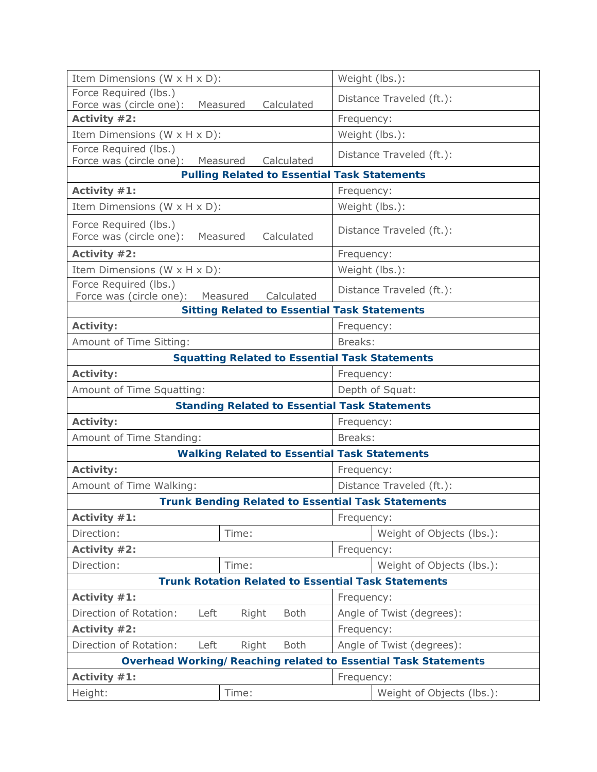| Item Dimensions (W x H x D):                                               | Weight (lbs.):            |  |  |
|----------------------------------------------------------------------------|---------------------------|--|--|
| Force Required (lbs.)<br>Force was (circle one):<br>Measured<br>Calculated | Distance Traveled (ft.):  |  |  |
| Activity #2:                                                               | Frequency:                |  |  |
| Item Dimensions (W x H x D):                                               | Weight (lbs.):            |  |  |
| Force Required (lbs.)<br>Force was (circle one):<br>Measured<br>Calculated | Distance Traveled (ft.):  |  |  |
| <b>Pulling Related to Essential Task Statements</b>                        |                           |  |  |
| Activity #1:                                                               | Frequency:                |  |  |
| Item Dimensions (W x H x D):                                               | Weight (lbs.):            |  |  |
| Force Required (lbs.)<br>Force was (circle one):<br>Measured<br>Calculated | Distance Traveled (ft.):  |  |  |
| Activity #2:                                                               | Frequency:                |  |  |
| Item Dimensions (W x H x D):                                               | Weight (lbs.):            |  |  |
| Force Required (lbs.)<br>Force was (circle one): Measured<br>Calculated    | Distance Traveled (ft.):  |  |  |
| <b>Sitting Related to Essential Task Statements</b>                        |                           |  |  |
| Activity:                                                                  | Frequency:                |  |  |
| Amount of Time Sitting:                                                    | Breaks:                   |  |  |
| <b>Squatting Related to Essential Task Statements</b>                      |                           |  |  |
| Activity:                                                                  | Frequency:                |  |  |
| Amount of Time Squatting:                                                  | Depth of Squat:           |  |  |
| <b>Standing Related to Essential Task Statements</b>                       |                           |  |  |
| <b>Activity:</b>                                                           | Frequency:                |  |  |
| Amount of Time Standing:                                                   | Breaks:                   |  |  |
| <b>Walking Related to Essential Task Statements</b>                        |                           |  |  |
| <b>Activity:</b>                                                           | Frequency:                |  |  |
| Amount of Time Walking:                                                    | Distance Traveled (ft.):  |  |  |
| <b>Trunk Bending Related to Essential Task Statements</b>                  |                           |  |  |
| Activity $#1$ :                                                            | Frequency:                |  |  |
| Direction:<br>Time:                                                        | Weight of Objects (lbs.): |  |  |
| Activity #2:                                                               | Frequency:                |  |  |
| Direction:<br>Time:                                                        | Weight of Objects (lbs.): |  |  |
| <b>Trunk Rotation Related to Essential Task Statements</b>                 |                           |  |  |
| Activity #1:                                                               | Frequency:                |  |  |
| Direction of Rotation:<br>Left<br><b>Both</b><br>Right                     | Angle of Twist (degrees): |  |  |
| Activity #2:                                                               | Frequency:                |  |  |
| Direction of Rotation:<br>Left<br>Right<br><b>Both</b>                     | Angle of Twist (degrees): |  |  |
| <b>Overhead Working/Reaching related to Essential Task Statements</b>      |                           |  |  |
| Activity #1:<br>Frequency:                                                 |                           |  |  |
| Height:<br>Time:                                                           | Weight of Objects (lbs.): |  |  |